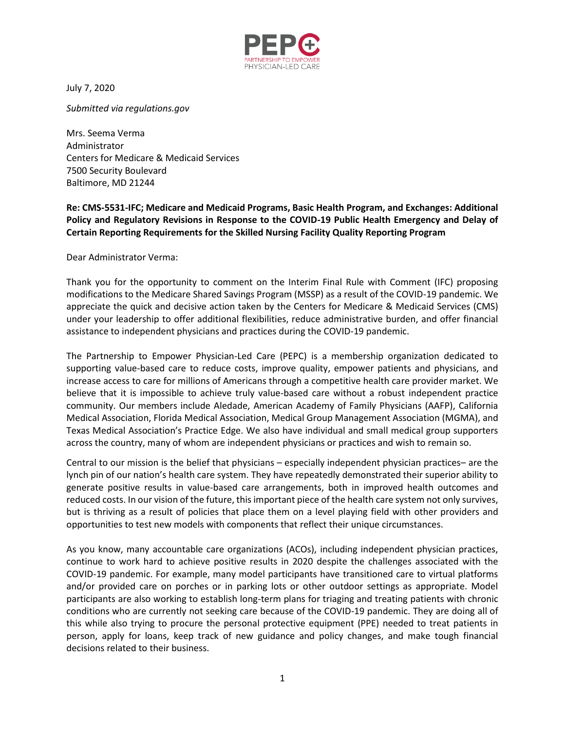

July 7, 2020

*Submitted via regulations.gov* 

Mrs. Seema Verma Administrator Centers for Medicare & Medicaid Services 7500 Security Boulevard Baltimore, MD 21244

## **Re: CMS-5531-IFC; Medicare and Medicaid Programs, Basic Health Program, and Exchanges: Additional Policy and Regulatory Revisions in Response to the COVID-19 Public Health Emergency and Delay of Certain Reporting Requirements for the Skilled Nursing Facility Quality Reporting Program**

Dear Administrator Verma:

Thank you for the opportunity to comment on the Interim Final Rule with Comment (IFC) proposing modifications to the Medicare Shared Savings Program (MSSP) as a result of the COVID-19 pandemic. We appreciate the quick and decisive action taken by the Centers for Medicare & Medicaid Services (CMS) under your leadership to offer additional flexibilities, reduce administrative burden, and offer financial assistance to independent physicians and practices during the COVID-19 pandemic.

The Partnership to Empower Physician-Led Care (PEPC) is a membership organization dedicated to supporting value-based care to reduce costs, improve quality, empower patients and physicians, and increase access to care for millions of Americans through a competitive health care provider market. We believe that it is impossible to achieve truly value-based care without a robust independent practice community. Our members include Aledade, American Academy of Family Physicians (AAFP), California Medical Association, Florida Medical Association, Medical Group Management Association (MGMA), and Texas Medical Association's Practice Edge. We also have individual and small medical group supporters across the country, many of whom are independent physicians or practices and wish to remain so.

Central to our mission is the belief that physicians – especially independent physician practices– are the lynch pin of our nation's health care system. They have repeatedly demonstrated their superior ability to generate positive results in value-based care arrangements, both in improved health outcomes and reduced costs. In our vision of the future, this important piece of the health care system not only survives, but is thriving as a result of policies that place them on a level playing field with other providers and opportunities to test new models with components that reflect their unique circumstances.

As you know, many accountable care organizations (ACOs), including independent physician practices, continue to work hard to achieve positive results in 2020 despite the challenges associated with the COVID-19 pandemic. For example, many model participants have transitioned care to virtual platforms and/or provided care on porches or in parking lots or other outdoor settings as appropriate. Model participants are also working to establish long-term plans for triaging and treating patients with chronic conditions who are currently not seeking care because of the COVID-19 pandemic. They are doing all of this while also trying to procure the personal protective equipment (PPE) needed to treat patients in person, apply for loans, keep track of new guidance and policy changes, and make tough financial decisions related to their business.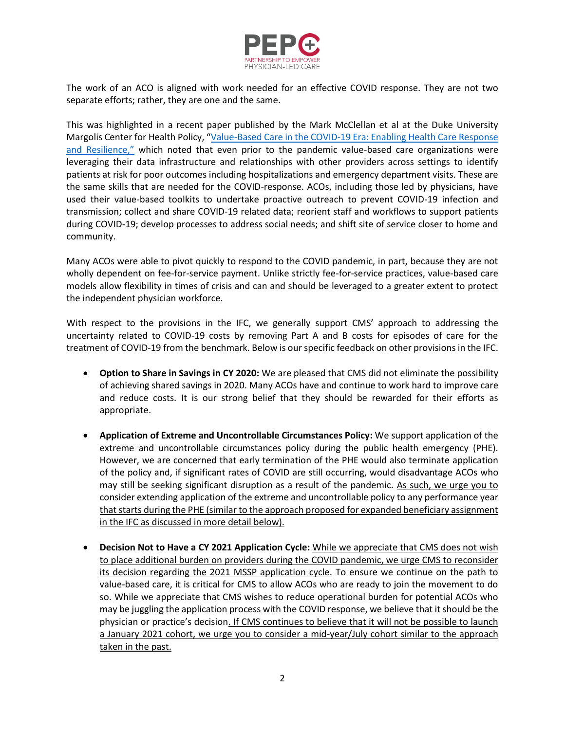

The work of an ACO is aligned with work needed for an effective COVID response. They are not two separate efforts; rather, they are one and the same.

This was highlighted in a recent paper published by the Mark McClellan et al at the Duke University Margolis Center for Health Policy, "[Value-Based Care in the COVID-19 Era: Enabling Health Care Response](https://healthpolicy.duke.edu/sites/default/files/2020-06/best_practices_brief_final.pdf)  [and Resilience,](https://healthpolicy.duke.edu/sites/default/files/2020-06/best_practices_brief_final.pdf)" which noted that even prior to the pandemic value-based care organizations were leveraging their data infrastructure and relationships with other providers across settings to identify patients at risk for poor outcomes including hospitalizations and emergency department visits. These are the same skills that are needed for the COVID-response. ACOs, including those led by physicians, have used their value-based toolkits to undertake proactive outreach to prevent COVID-19 infection and transmission; collect and share COVID-19 related data; reorient staff and workflows to support patients during COVID-19; develop processes to address social needs; and shift site of service closer to home and community.

Many ACOs were able to pivot quickly to respond to the COVID pandemic, in part, because they are not wholly dependent on fee-for-service payment. Unlike strictly fee-for-service practices, value-based care models allow flexibility in times of crisis and can and should be leveraged to a greater extent to protect the independent physician workforce.

With respect to the provisions in the IFC, we generally support CMS' approach to addressing the uncertainty related to COVID-19 costs by removing Part A and B costs for episodes of care for the treatment of COVID-19 from the benchmark. Below is our specific feedback on other provisions in the IFC.

- **Option to Share in Savings in CY 2020:** We are pleased that CMS did not eliminate the possibility of achieving shared savings in 2020. Many ACOs have and continue to work hard to improve care and reduce costs. It is our strong belief that they should be rewarded for their efforts as appropriate.
- **Application of Extreme and Uncontrollable Circumstances Policy:** We support application of the extreme and uncontrollable circumstances policy during the public health emergency (PHE). However, we are concerned that early termination of the PHE would also terminate application of the policy and, if significant rates of COVID are still occurring, would disadvantage ACOs who may still be seeking significant disruption as a result of the pandemic. As such, we urge you to consider extending application of the extreme and uncontrollable policy to any performance year that starts during the PHE (similar to the approach proposed for expanded beneficiary assignment in the IFC as discussed in more detail below).
- **Decision Not to Have a CY 2021 Application Cycle:** While we appreciate that CMS does not wish to place additional burden on providers during the COVID pandemic, we urge CMS to reconsider its decision regarding the 2021 MSSP application cycle. To ensure we continue on the path to value-based care, it is critical for CMS to allow ACOs who are ready to join the movement to do so. While we appreciate that CMS wishes to reduce operational burden for potential ACOs who may be juggling the application process with the COVID response, we believe that it should be the physician or practice's decision. If CMS continues to believe that it will not be possible to launch a January 2021 cohort, we urge you to consider a mid-year/July cohort similar to the approach taken in the past.